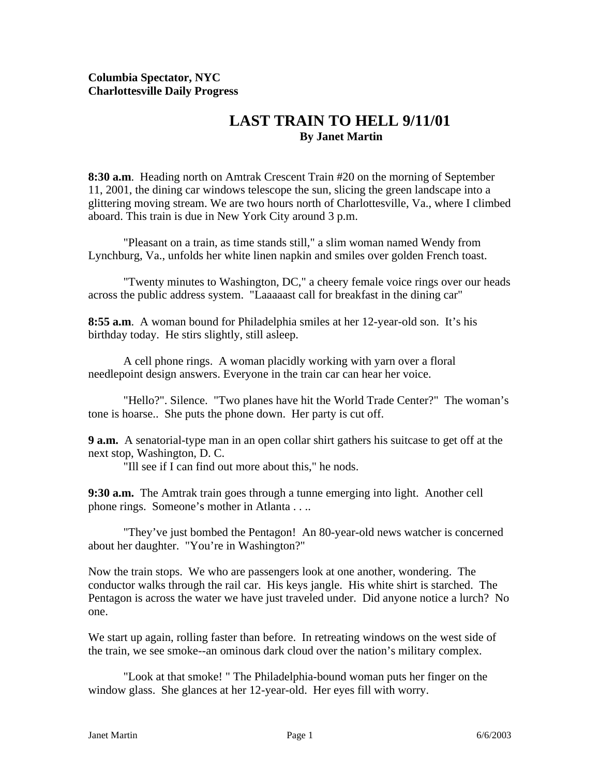## **LAST TRAIN TO HELL 9/11/01 By Janet Martin**

**8:30 a.m**. Heading north on Amtrak Crescent Train #20 on the morning of September 11, 2001, the dining car windows telescope the sun, slicing the green landscape into a glittering moving stream. We are two hours north of Charlottesville, Va., where I climbed aboard. This train is due in New York City around 3 p.m.

"Pleasant on a train, as time stands still," a slim woman named Wendy from Lynchburg, Va., unfolds her white linen napkin and smiles over golden French toast.

"Twenty minutes to Washington, DC," a cheery female voice rings over our heads across the public address system. "Laaaaast call for breakfast in the dining car"

**8:55 a.m**. A woman bound for Philadelphia smiles at her 12-year-old son. It's his birthday today. He stirs slightly, still asleep.

A cell phone rings. A woman placidly working with yarn over a floral needlepoint design answers. Everyone in the train car can hear her voice.

 "Hello?". Silence. "Two planes have hit the World Trade Center?" The woman's tone is hoarse.. She puts the phone down. Her party is cut off.

**9 a.m.** A senatorial-type man in an open collar shirt gathers his suitcase to get off at the next stop, Washington, D. C.

"Ill see if I can find out more about this," he nods.

**9:30 a.m.** The Amtrak train goes through a tunne emerging into light. Another cell phone rings. Someone's mother in Atlanta . . ..

"They've just bombed the Pentagon! An 80-year-old news watcher is concerned about her daughter. "You're in Washington?"

Now the train stops. We who are passengers look at one another, wondering. The conductor walks through the rail car. His keys jangle. His white shirt is starched. The Pentagon is across the water we have just traveled under. Did anyone notice a lurch? No one.

We start up again, rolling faster than before. In retreating windows on the west side of the train, we see smoke--an ominous dark cloud over the nation's military complex.

"Look at that smoke! " The Philadelphia-bound woman puts her finger on the window glass. She glances at her 12-year-old. Her eyes fill with worry.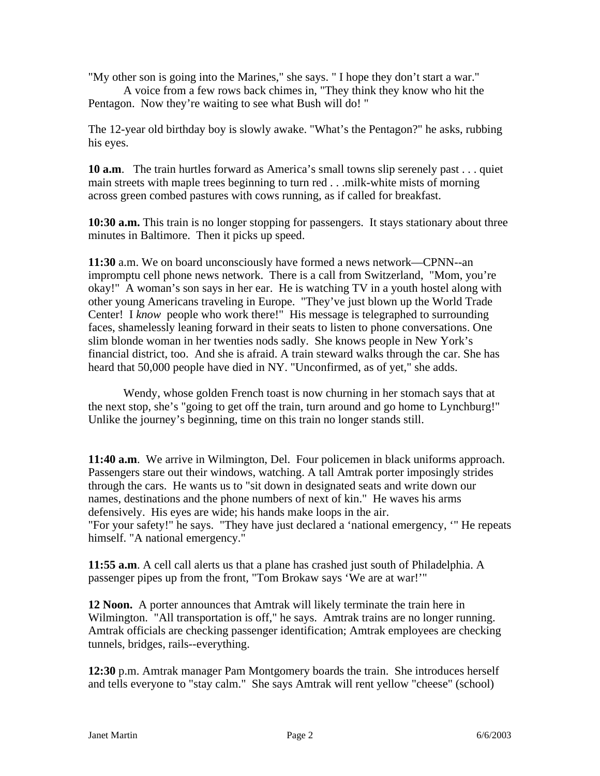"My other son is going into the Marines," she says. " I hope they don't start a war."

 A voice from a few rows back chimes in, "They think they know who hit the Pentagon. Now they're waiting to see what Bush will do! "

The 12-year old birthday boy is slowly awake. "What's the Pentagon?" he asks, rubbing his eyes.

**10 a.m.** The train hurtles forward as America's small towns slip serenely past . . . quiet main streets with maple trees beginning to turn red . . .milk-white mists of morning across green combed pastures with cows running, as if called for breakfast.

**10:30 a.m.** This train is no longer stopping for passengers. It stays stationary about three minutes in Baltimore. Then it picks up speed.

**11:30** a.m. We on board unconsciously have formed a news network—CPNN--an impromptu cell phone news network. There is a call from Switzerland, "Mom, you're okay!" A woman's son says in her ear. He is watching TV in a youth hostel along with other young Americans traveling in Europe. "They've just blown up the World Trade Center! I *know* people who work there!" His message is telegraphed to surrounding faces, shamelessly leaning forward in their seats to listen to phone conversations. One slim blonde woman in her twenties nods sadly. She knows people in New York's financial district, too. And she is afraid. A train steward walks through the car. She has heard that 50,000 people have died in NY. "Unconfirmed, as of yet," she adds.

 Wendy, whose golden French toast is now churning in her stomach says that at the next stop, she's "going to get off the train, turn around and go home to Lynchburg!" Unlike the journey's beginning, time on this train no longer stands still.

**11:40 a.m**. We arrive in Wilmington, Del. Four policemen in black uniforms approach. Passengers stare out their windows, watching. A tall Amtrak porter imposingly strides through the cars. He wants us to "sit down in designated seats and write down our names, destinations and the phone numbers of next of kin." He waves his arms defensively. His eyes are wide; his hands make loops in the air. "For your safety!" he says. "They have just declared a 'national emergency, '" He repeats himself. "A national emergency."

**11:55 a.m**. A cell call alerts us that a plane has crashed just south of Philadelphia. A passenger pipes up from the front, "Tom Brokaw says 'We are at war!'"

**12 Noon.** A porter announces that Amtrak will likely terminate the train here in Wilmington. "All transportation is off," he says. Amtrak trains are no longer running. Amtrak officials are checking passenger identification; Amtrak employees are checking tunnels, bridges, rails--everything.

**12:30** p.m. Amtrak manager Pam Montgomery boards the train. She introduces herself and tells everyone to "stay calm." She says Amtrak will rent yellow "cheese" (school)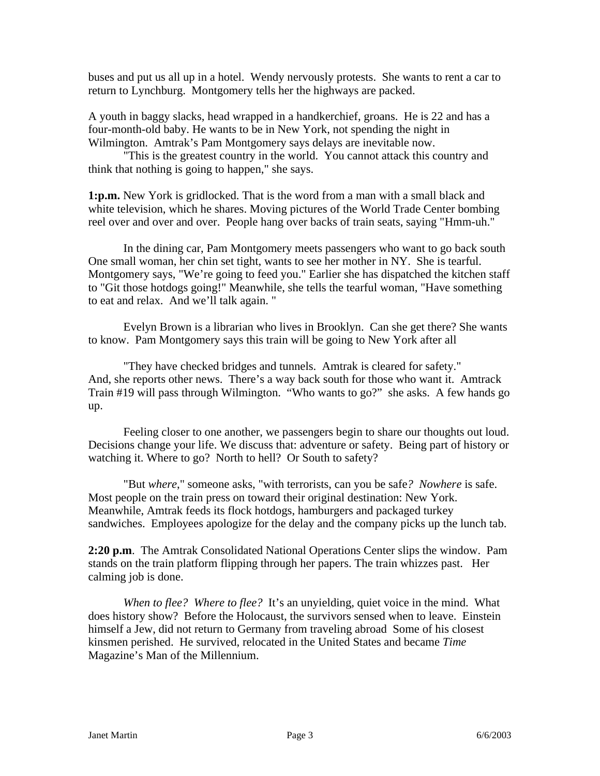buses and put us all up in a hotel. Wendy nervously protests. She wants to rent a car to return to Lynchburg. Montgomery tells her the highways are packed.

A youth in baggy slacks, head wrapped in a handkerchief, groans. He is 22 and has a four-month-old baby. He wants to be in New York, not spending the night in Wilmington. Amtrak's Pam Montgomery says delays are inevitable now.

"This is the greatest country in the world. You cannot attack this country and think that nothing is going to happen," she says.

**1:p.m.** New York is gridlocked. That is the word from a man with a small black and white television, which he shares. Moving pictures of the World Trade Center bombing reel over and over and over. People hang over backs of train seats, saying "Hmm-uh."

In the dining car, Pam Montgomery meets passengers who want to go back south One small woman, her chin set tight, wants to see her mother in NY. She is tearful. Montgomery says, "We're going to feed you." Earlier she has dispatched the kitchen staff to "Git those hotdogs going!" Meanwhile, she tells the tearful woman, "Have something to eat and relax. And we'll talk again. "

Evelyn Brown is a librarian who lives in Brooklyn. Can she get there? She wants to know. Pam Montgomery says this train will be going to New York after all

"They have checked bridges and tunnels. Amtrak is cleared for safety." And, she reports other news. There's a way back south for those who want it. Amtrack Train #19 will pass through Wilmington. "Who wants to go?" she asks. A few hands go up.

Feeling closer to one another, we passengers begin to share our thoughts out loud. Decisions change your life. We discuss that: adventure or safety. Being part of history or watching it. Where to go? North to hell? Or South to safety?

"But *where*," someone asks, "with terrorists, can you be safe*? Nowhere* is safe. Most people on the train press on toward their original destination: New York. Meanwhile, Amtrak feeds its flock hotdogs, hamburgers and packaged turkey sandwiches. Employees apologize for the delay and the company picks up the lunch tab.

**2:20 p.m**. The Amtrak Consolidated National Operations Center slips the window. Pam stands on the train platform flipping through her papers. The train whizzes past. Her calming job is done.

*When to flee? Where to flee?* It's an unyielding, quiet voice in the mind. What does history show? Before the Holocaust, the survivors sensed when to leave. Einstein himself a Jew, did not return to Germany from traveling abroad Some of his closest kinsmen perished. He survived, relocated in the United States and became *Time* Magazine's Man of the Millennium.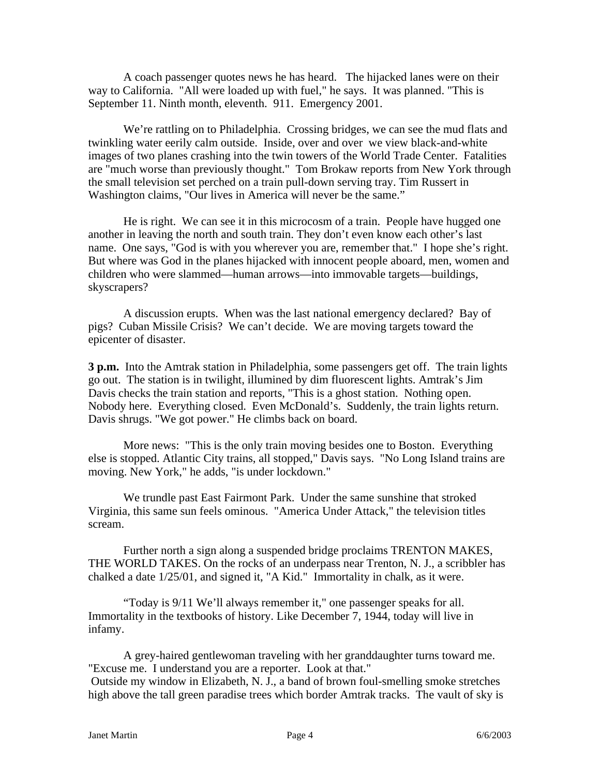A coach passenger quotes news he has heard. The hijacked lanes were on their way to California. "All were loaded up with fuel," he says. It was planned. "This is September 11. Ninth month, eleventh. 911. Emergency 2001.

We're rattling on to Philadelphia. Crossing bridges, we can see the mud flats and twinkling water eerily calm outside. Inside, over and over we view black-and-white images of two planes crashing into the twin towers of the World Trade Center. Fatalities are "much worse than previously thought." Tom Brokaw reports from New York through the small television set perched on a train pull-down serving tray. Tim Russert in Washington claims, "Our lives in America will never be the same."

He is right. We can see it in this microcosm of a train. People have hugged one another in leaving the north and south train. They don't even know each other's last name. One says, "God is with you wherever you are, remember that." I hope she's right. But where was God in the planes hijacked with innocent people aboard, men, women and children who were slammed—human arrows—into immovable targets—buildings, skyscrapers?

A discussion erupts. When was the last national emergency declared? Bay of pigs? Cuban Missile Crisis? We can't decide. We are moving targets toward the epicenter of disaster.

**3 p.m.** Into the Amtrak station in Philadelphia, some passengers get off. The train lights go out. The station is in twilight, illumined by dim fluorescent lights. Amtrak's Jim Davis checks the train station and reports, "This is a ghost station. Nothing open. Nobody here. Everything closed. Even McDonald's. Suddenly, the train lights return. Davis shrugs. "We got power." He climbs back on board.

More news: "This is the only train moving besides one to Boston. Everything else is stopped. Atlantic City trains, all stopped," Davis says. "No Long Island trains are moving. New York," he adds, "is under lockdown."

We trundle past East Fairmont Park. Under the same sunshine that stroked Virginia, this same sun feels ominous. "America Under Attack," the television titles scream.

Further north a sign along a suspended bridge proclaims TRENTON MAKES, THE WORLD TAKES. On the rocks of an underpass near Trenton, N. J., a scribbler has chalked a date 1/25/01, and signed it, "A Kid." Immortality in chalk, as it were.

"Today is 9/11 We'll always remember it," one passenger speaks for all. Immortality in the textbooks of history. Like December 7, 1944, today will live in infamy.

A grey-haired gentlewoman traveling with her granddaughter turns toward me. "Excuse me. I understand you are a reporter. Look at that."

 Outside my window in Elizabeth, N. J., a band of brown foul-smelling smoke stretches high above the tall green paradise trees which border Amtrak tracks. The vault of sky is